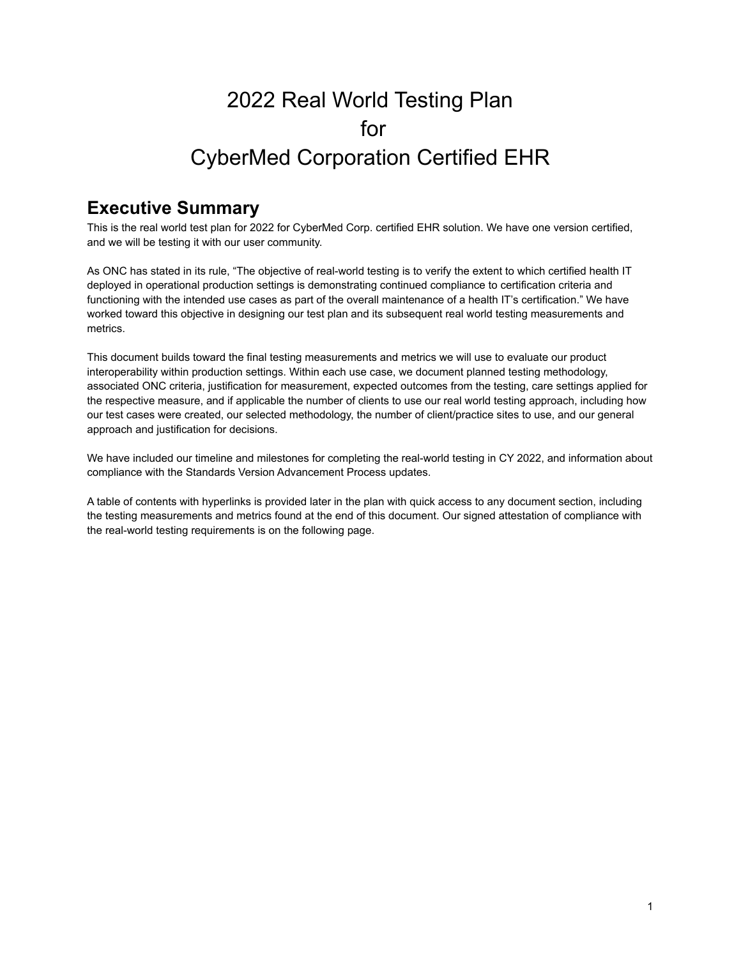# 2022 Real World Testing Plan for CyberMed Corporation Certified EHR

## **Executive Summary**

This is the real world test plan for 2022 for CyberMed Corp. certified EHR solution. We have one version certified, and we will be testing it with our user community.

As ONC has stated in its rule, "The objective of real-world testing is to verify the extent to which certified health IT deployed in operational production settings is demonstrating continued compliance to certification criteria and functioning with the intended use cases as part of the overall maintenance of a health IT's certification." We have worked toward this objective in designing our test plan and its subsequent real world testing measurements and metrics.

This document builds toward the final testing measurements and metrics we will use to evaluate our product interoperability within production settings. Within each use case, we document planned testing methodology, associated ONC criteria, justification for measurement, expected outcomes from the testing, care settings applied for the respective measure, and if applicable the number of clients to use our real world testing approach, including how our test cases were created, our selected methodology, the number of client/practice sites to use, and our general approach and justification for decisions.

We have included our timeline and milestones for completing the real-world testing in CY 2022, and information about compliance with the Standards Version Advancement Process updates.

A table of contents with hyperlinks is provided later in the plan with quick access to any document section, including the testing measurements and metrics found at the end of this document. Our signed attestation of compliance with the real-world testing requirements is on the following page.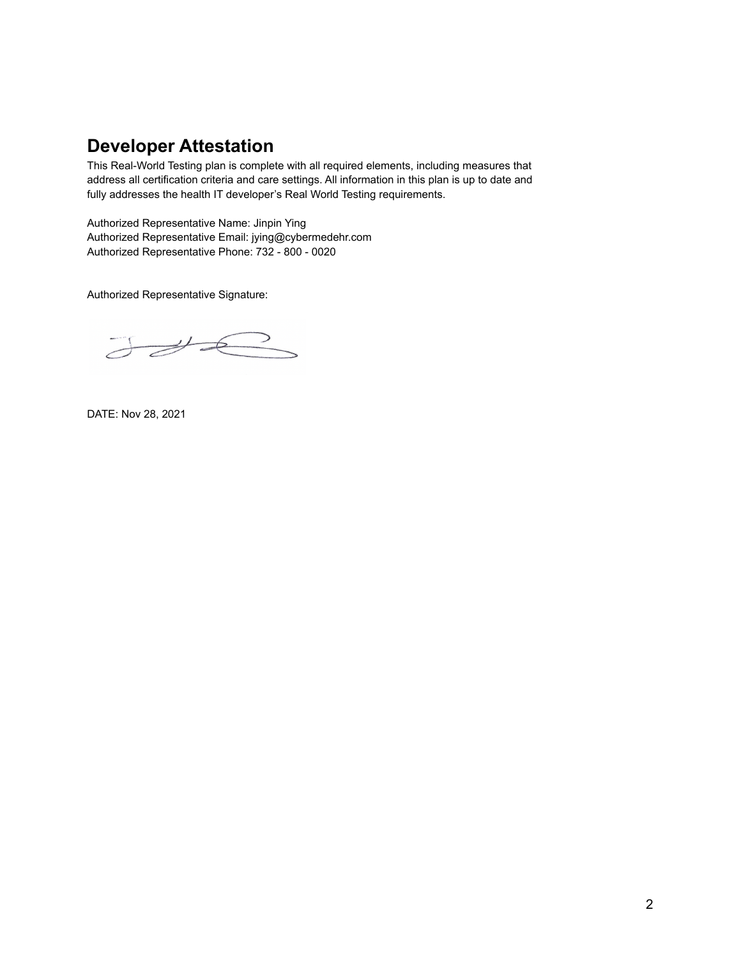## **Developer Attestation**

This Real-World Testing plan is complete with all required elements, including measures that address all certification criteria and care settings. All information in this plan is up to date and fully addresses the health IT developer's Real World Testing requirements.

Authorized Representative Name: Jinpin Ying Authorized Representative Email: jying@cybermedehr.com Authorized Representative Phone: 732 - 800 - 0020

Authorized Representative Signature:

JUR

DATE: Nov 28, 2021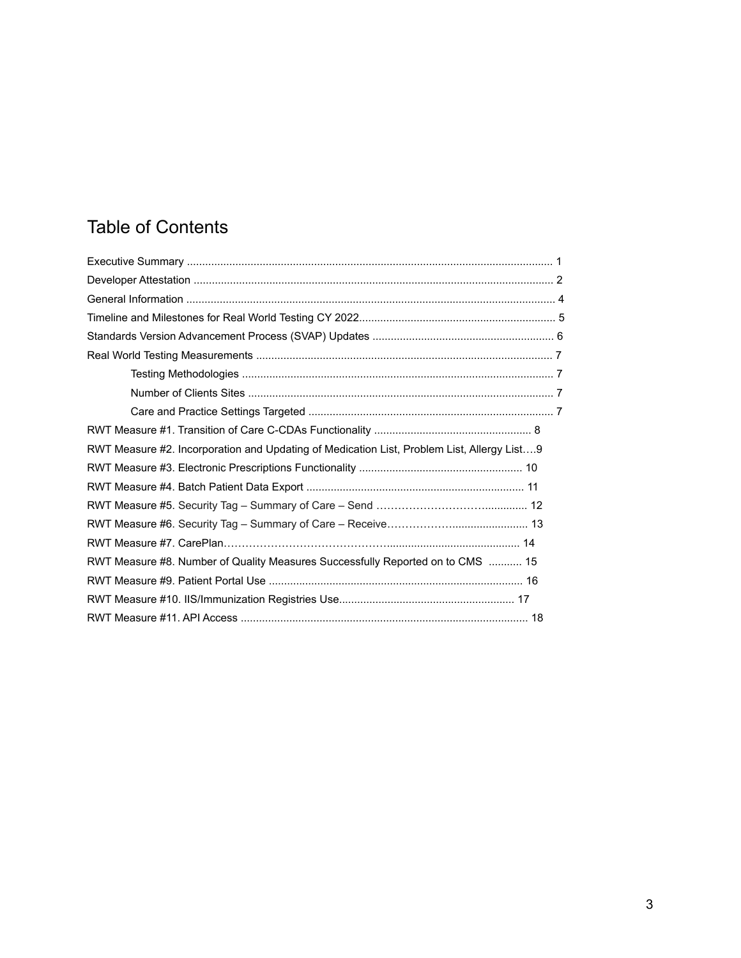# Table of Contents

| RWT Measure #2. Incorporation and Updating of Medication List, Problem List, Allergy List9 |  |
|--------------------------------------------------------------------------------------------|--|
|                                                                                            |  |
|                                                                                            |  |
|                                                                                            |  |
|                                                                                            |  |
|                                                                                            |  |
| RWT Measure #8. Number of Quality Measures Successfully Reported on to CMS  15             |  |
|                                                                                            |  |
|                                                                                            |  |
|                                                                                            |  |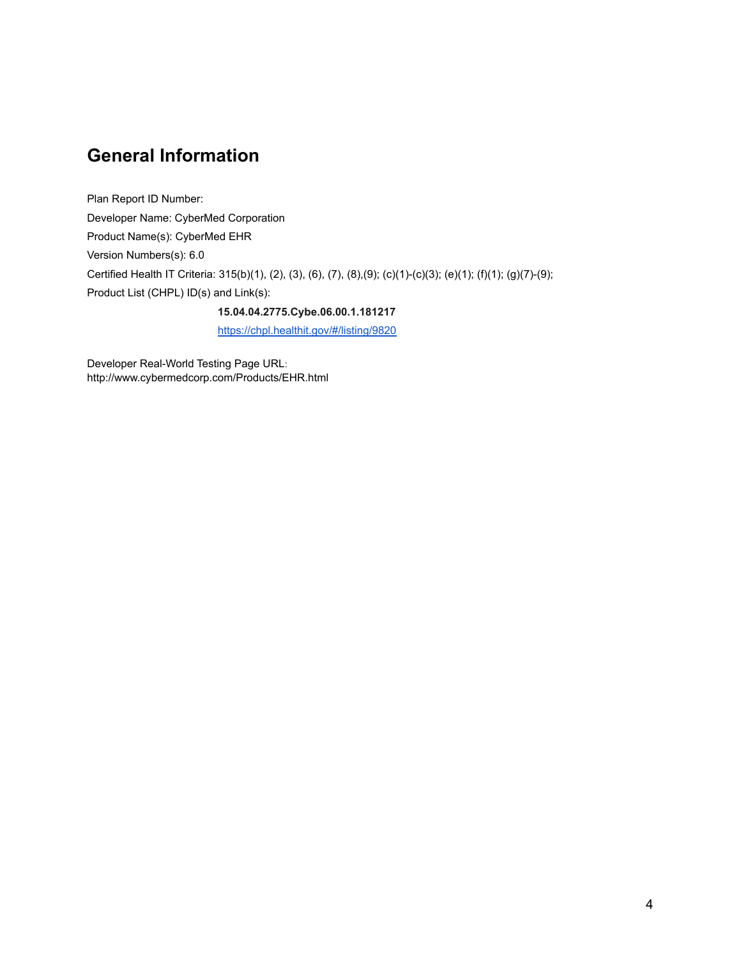## **General Information**

Plan Report ID Number: Developer Name: CyberMed Corporation Product Name(s): CyberMed EHR Version Numbers(s): 6.0 Certified Health IT Criteria: 315(b)(1), (2), (3), (6), (7), (8),(9); (c)(1)-(c)(3); (e)(1); (f)(1); (g)(7)-(9); Product List (CHPL) ID(s) and Link(s):

**15.04.04.2775.Cybe.06.00.1.181217**

<https://chpl.healthit.gov/#/listing/9820>

Developer Real-World Testing Page URL: http://www.cybermedcorp.com/Products/EHR.html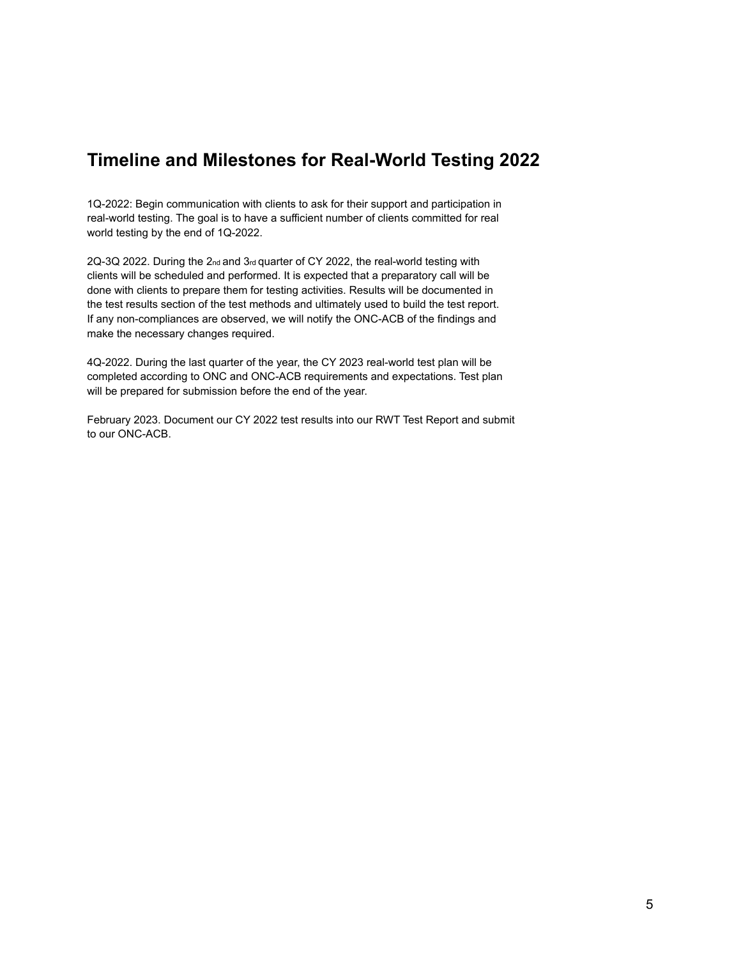## **Timeline and Milestones for Real-World Testing 2022**

1Q-2022: Begin communication with clients to ask for their support and participation in real-world testing. The goal is to have a sufficient number of clients committed for real world testing by the end of 1Q-2022.

2Q-3Q 2022. During the 2<sub>nd</sub> and 3<sub>rd</sub> quarter of CY 2022, the real-world testing with clients will be scheduled and performed. It is expected that a preparatory call will be done with clients to prepare them for testing activities. Results will be documented in the test results section of the test methods and ultimately used to build the test report. If any non-compliances are observed, we will notify the ONC-ACB of the findings and make the necessary changes required.

4Q-2022. During the last quarter of the year, the CY 2023 real-world test plan will be completed according to ONC and ONC-ACB requirements and expectations. Test plan will be prepared for submission before the end of the year.

February 2023. Document our CY 2022 test results into our RWT Test Report and submit to our ONC-ACB.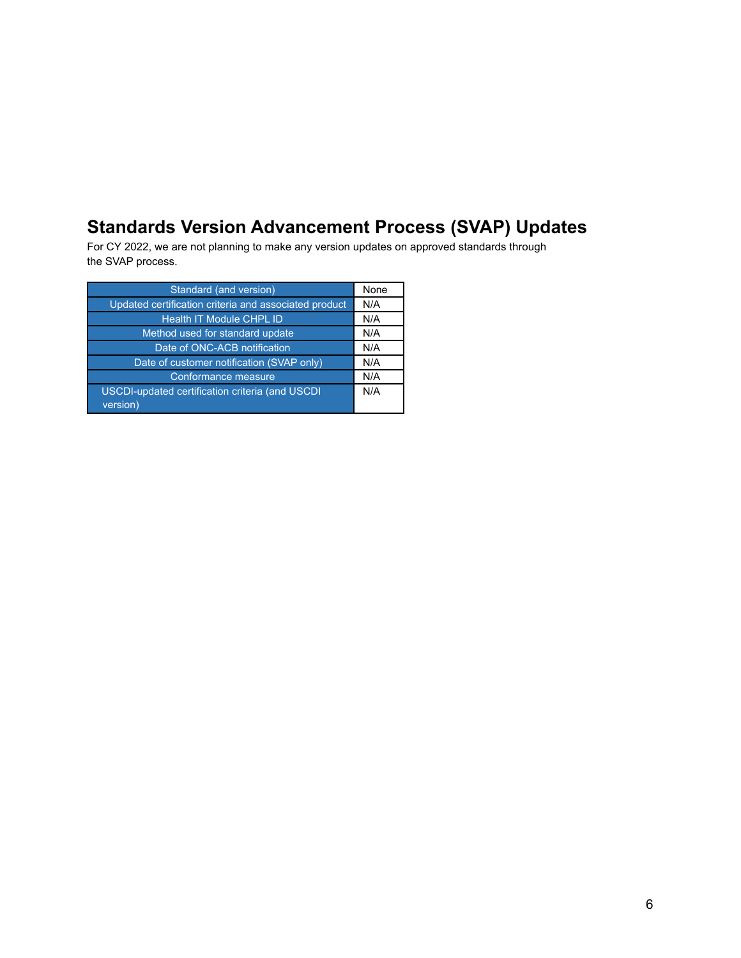## **Standards Version Advancement Process (SVAP) Updates**

For CY 2022, we are not planning to make any version updates on approved standards through the SVAP process.

| Standard (and version)                                | None |
|-------------------------------------------------------|------|
| Updated certification criteria and associated product | N/A  |
| <b>Health IT Module CHPL ID</b>                       | N/A  |
| Method used for standard update                       | N/A  |
| Date of ONC-ACB notification                          | N/A  |
| Date of customer notification (SVAP only)             | N/A  |
| Conformance measure                                   | N/A  |
| USCDI-updated certification criteria (and USCDI       | N/A  |
| version)                                              |      |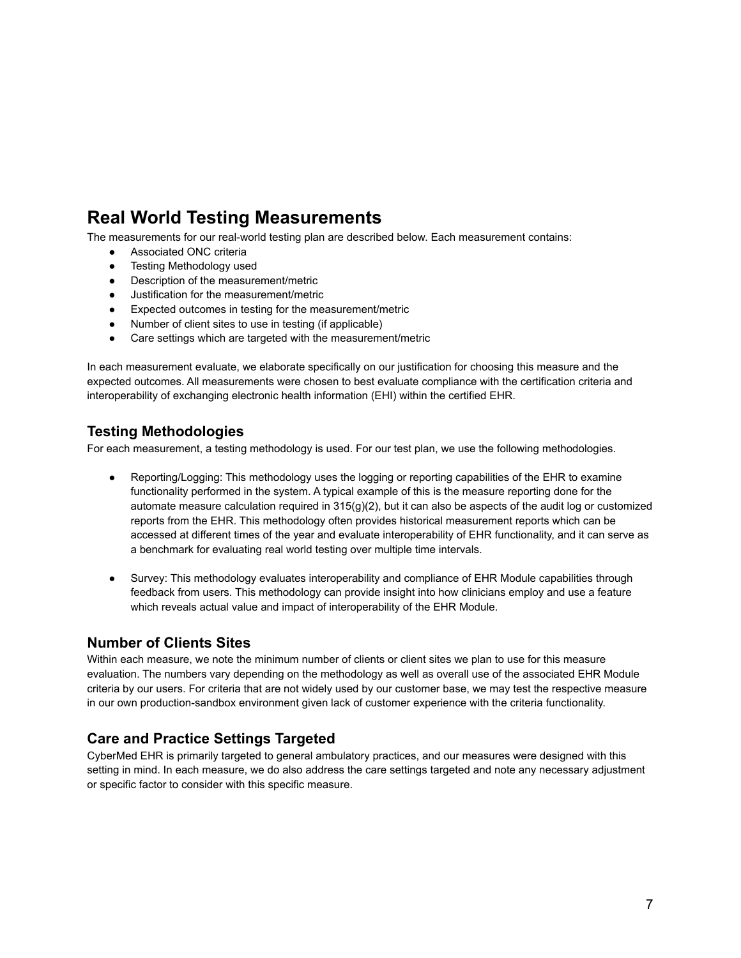## **Real World Testing Measurements**

The measurements for our real-world testing plan are described below. Each measurement contains:

- **•** Associated ONC criteria
- Testing Methodology used
- Description of the measurement/metric
- Justification for the measurement/metric
- Expected outcomes in testing for the measurement/metric
- Number of client sites to use in testing (if applicable)
- Care settings which are targeted with the measurement/metric

In each measurement evaluate, we elaborate specifically on our justification for choosing this measure and the expected outcomes. All measurements were chosen to best evaluate compliance with the certification criteria and interoperability of exchanging electronic health information (EHI) within the certified EHR.

### **Testing Methodologies**

For each measurement, a testing methodology is used. For our test plan, we use the following methodologies.

- Reporting/Logging: This methodology uses the logging or reporting capabilities of the EHR to examine functionality performed in the system. A typical example of this is the measure reporting done for the automate measure calculation required in 315(g)(2), but it can also be aspects of the audit log or customized reports from the EHR. This methodology often provides historical measurement reports which can be accessed at different times of the year and evaluate interoperability of EHR functionality, and it can serve as a benchmark for evaluating real world testing over multiple time intervals.
- Survey: This methodology evaluates interoperability and compliance of EHR Module capabilities through feedback from users. This methodology can provide insight into how clinicians employ and use a feature which reveals actual value and impact of interoperability of the EHR Module.

#### **Number of Clients Sites**

Within each measure, we note the minimum number of clients or client sites we plan to use for this measure evaluation. The numbers vary depending on the methodology as well as overall use of the associated EHR Module criteria by our users. For criteria that are not widely used by our customer base, we may test the respective measure in our own production-sandbox environment given lack of customer experience with the criteria functionality.

### **Care and Practice Settings Targeted**

CyberMed EHR is primarily targeted to general ambulatory practices, and our measures were designed with this setting in mind. In each measure, we do also address the care settings targeted and note any necessary adjustment or specific factor to consider with this specific measure.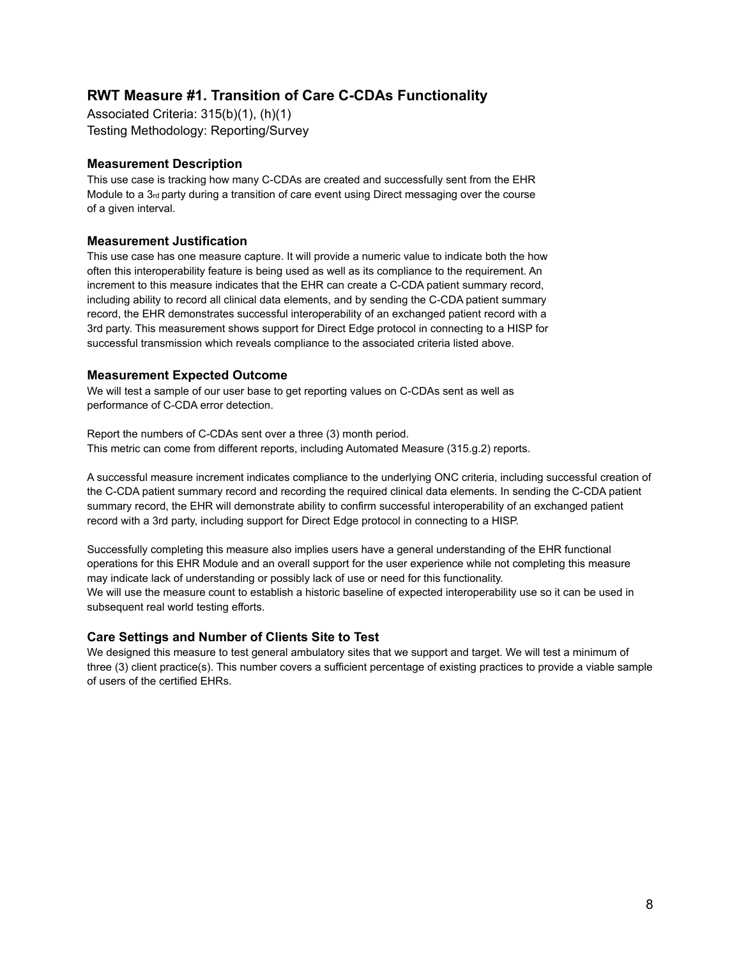## **RWT Measure #1. Transition of Care C-CDAs Functionality**

Associated Criteria: 315(b)(1), (h)(1) Testing Methodology: Reporting/Survey

#### **Measurement Description**

This use case is tracking how many C-CDAs are created and successfully sent from the EHR Module to a 3<sup>rd</sup> party during a transition of care event using Direct messaging over the course of a given interval.

#### **Measurement Justification**

This use case has one measure capture. It will provide a numeric value to indicate both the how often this interoperability feature is being used as well as its compliance to the requirement. An increment to this measure indicates that the EHR can create a C-CDA patient summary record, including ability to record all clinical data elements, and by sending the C-CDA patient summary record, the EHR demonstrates successful interoperability of an exchanged patient record with a 3rd party. This measurement shows support for Direct Edge protocol in connecting to a HISP for successful transmission which reveals compliance to the associated criteria listed above.

#### **Measurement Expected Outcome**

We will test a sample of our user base to get reporting values on C-CDAs sent as well as performance of C-CDA error detection.

Report the numbers of C-CDAs sent over a three (3) month period. This metric can come from different reports, including Automated Measure (315.g.2) reports.

A successful measure increment indicates compliance to the underlying ONC criteria, including successful creation of the C-CDA patient summary record and recording the required clinical data elements. In sending the C-CDA patient summary record, the EHR will demonstrate ability to confirm successful interoperability of an exchanged patient record with a 3rd party, including support for Direct Edge protocol in connecting to a HISP.

Successfully completing this measure also implies users have a general understanding of the EHR functional operations for this EHR Module and an overall support for the user experience while not completing this measure may indicate lack of understanding or possibly lack of use or need for this functionality. We will use the measure count to establish a historic baseline of expected interoperability use so it can be used in subsequent real world testing efforts.

#### **Care Settings and Number of Clients Site to Test**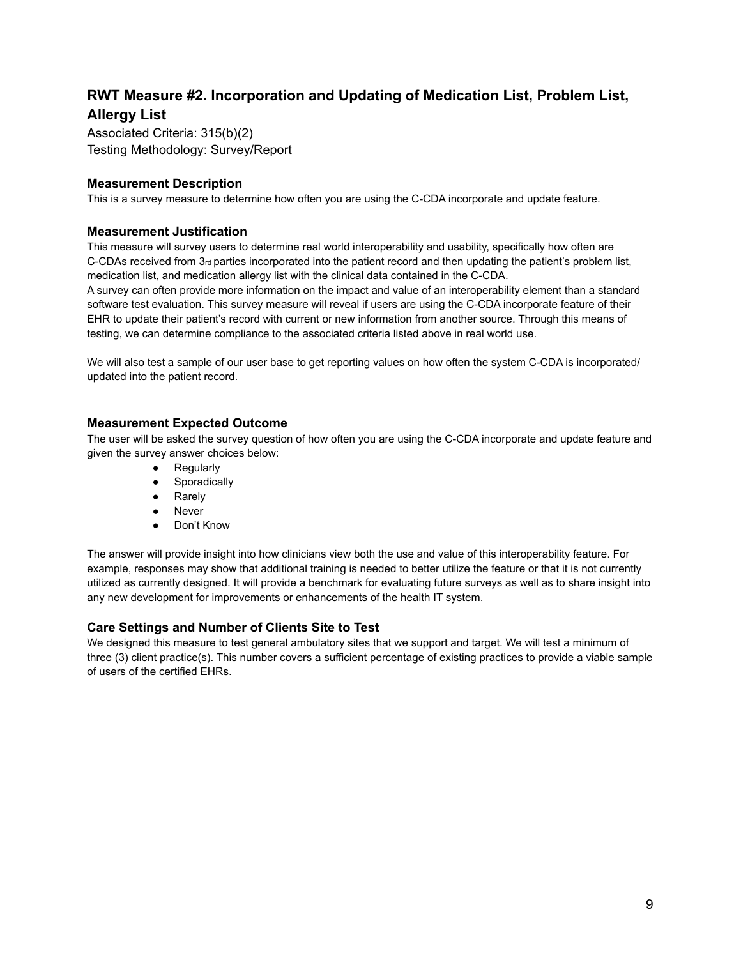## **RWT Measure #2. Incorporation and Updating of Medication List, Problem List, Allergy List**

Associated Criteria: 315(b)(2) Testing Methodology: Survey/Report

#### **Measurement Description**

This is a survey measure to determine how often you are using the C-CDA incorporate and update feature.

#### **Measurement Justification**

This measure will survey users to determine real world interoperability and usability, specifically how often are C-CDAs received from  $3<sub>rd</sub>$  parties incorporated into the patient record and then updating the patient's problem list, medication list, and medication allergy list with the clinical data contained in the C-CDA.

A survey can often provide more information on the impact and value of an interoperability element than a standard software test evaluation. This survey measure will reveal if users are using the C-CDA incorporate feature of their EHR to update their patient's record with current or new information from another source. Through this means of testing, we can determine compliance to the associated criteria listed above in real world use.

We will also test a sample of our user base to get reporting values on how often the system C-CDA is incorporated/ updated into the patient record.

#### **Measurement Expected Outcome**

The user will be asked the survey question of how often you are using the C-CDA incorporate and update feature and given the survey answer choices below:

- Regularly
- **•** Sporadically
- Rarely
- Never
- Don't Know

The answer will provide insight into how clinicians view both the use and value of this interoperability feature. For example, responses may show that additional training is needed to better utilize the feature or that it is not currently utilized as currently designed. It will provide a benchmark for evaluating future surveys as well as to share insight into any new development for improvements or enhancements of the health IT system.

#### **Care Settings and Number of Clients Site to Test**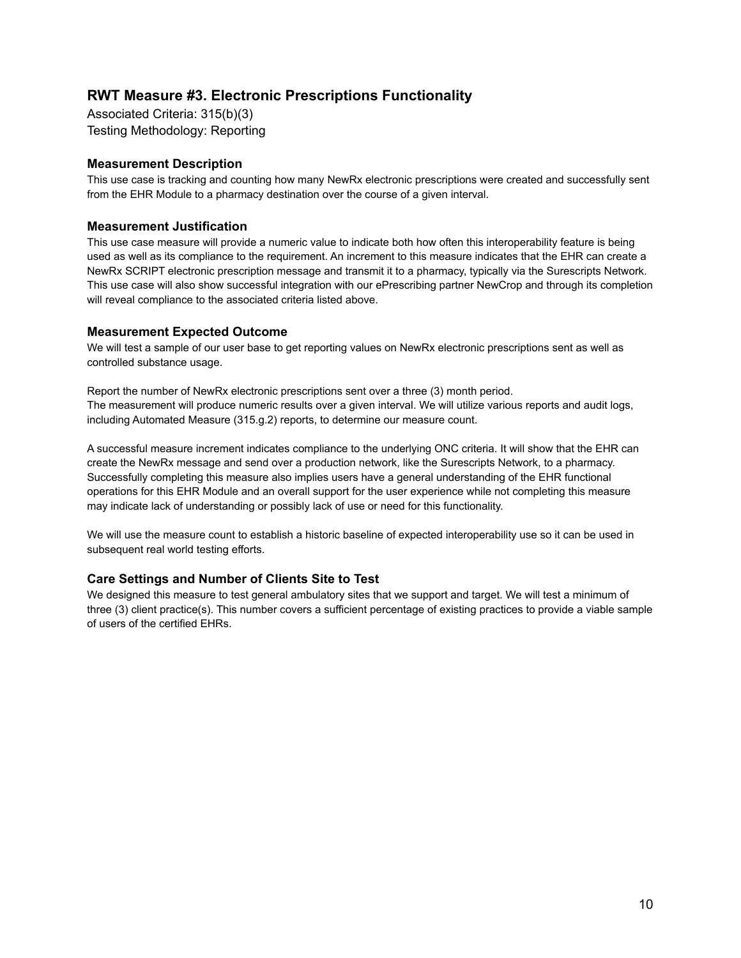## **RWT Measure #3. Electronic Prescriptions Functionality**

Associated Criteria: 315(b)(3) Testing Methodology: Reporting

#### **Measurement Description**

This use case is tracking and counting how many NewRx electronic prescriptions were created and successfully sent from the EHR Module to a pharmacy destination over the course of a given interval.

#### **Measurement Justification**

This use case measure will provide a numeric value to indicate both how often this interoperability feature is being used as well as its compliance to the requirement. An increment to this measure indicates that the EHR can create a NewRx SCRIPT electronic prescription message and transmit it to a pharmacy, typically via the Surescripts Network. This use case will also show successful integration with our ePrescribing partner NewCrop and through its completion will reveal compliance to the associated criteria listed above.

#### **Measurement Expected Outcome**

We will test a sample of our user base to get reporting values on NewRx electronic prescriptions sent as well as controlled substance usage.

Report the number of NewRx electronic prescriptions sent over a three (3) month period. The measurement will produce numeric results over a given interval. We will utilize various reports and audit logs, including Automated Measure (315.g.2) reports, to determine our measure count.

A successful measure increment indicates compliance to the underlying ONC criteria. It will show that the EHR can create the NewRx message and send over a production network, like the Surescripts Network, to a pharmacy. Successfully completing this measure also implies users have a general understanding of the EHR functional operations for this EHR Module and an overall support for the user experience while not completing this measure may indicate lack of understanding or possibly lack of use or need for this functionality.

We will use the measure count to establish a historic baseline of expected interoperability use so it can be used in subsequent real world testing efforts.

#### **Care Settings and Number of Clients Site to Test**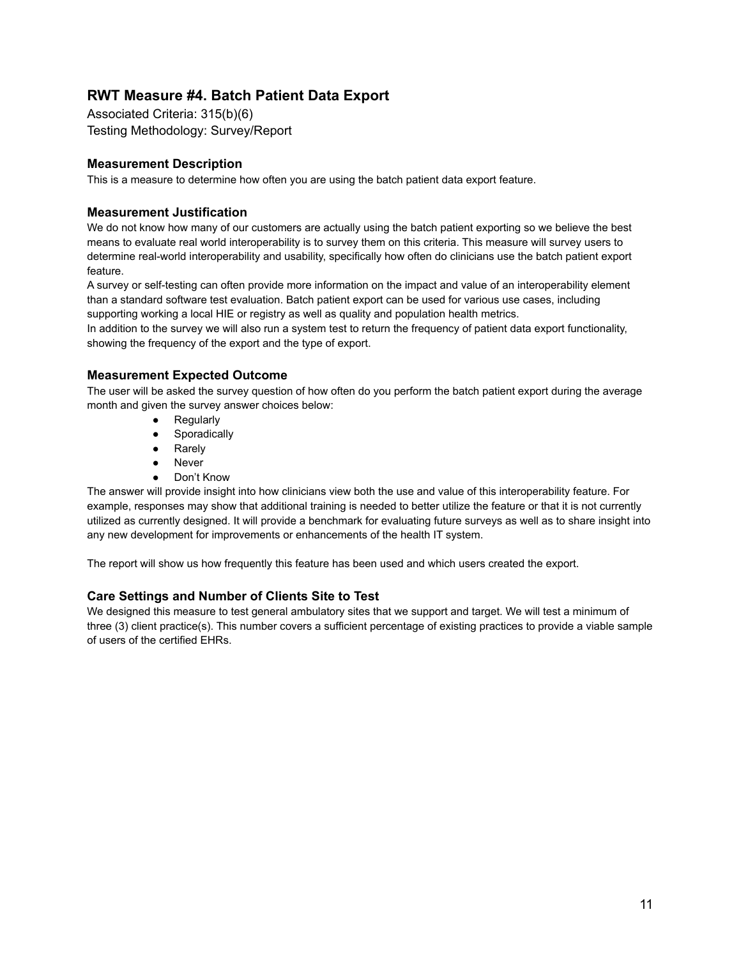## **RWT Measure #4. Batch Patient Data Export**

Associated Criteria: 315(b)(6) Testing Methodology: Survey/Report

#### **Measurement Description**

This is a measure to determine how often you are using the batch patient data export feature.

#### **Measurement Justification**

We do not know how many of our customers are actually using the batch patient exporting so we believe the best means to evaluate real world interoperability is to survey them on this criteria. This measure will survey users to determine real-world interoperability and usability, specifically how often do clinicians use the batch patient export feature.

A survey or self-testing can often provide more information on the impact and value of an interoperability element than a standard software test evaluation. Batch patient export can be used for various use cases, including supporting working a local HIE or registry as well as quality and population health metrics.

In addition to the survey we will also run a system test to return the frequency of patient data export functionality, showing the frequency of the export and the type of export.

#### **Measurement Expected Outcome**

The user will be asked the survey question of how often do you perform the batch patient export during the average month and given the survey answer choices below:

- Regularly
- Sporadically
- Rarely
- Never
- Don't Know

The answer will provide insight into how clinicians view both the use and value of this interoperability feature. For example, responses may show that additional training is needed to better utilize the feature or that it is not currently utilized as currently designed. It will provide a benchmark for evaluating future surveys as well as to share insight into any new development for improvements or enhancements of the health IT system.

The report will show us how frequently this feature has been used and which users created the export.

#### **Care Settings and Number of Clients Site to Test**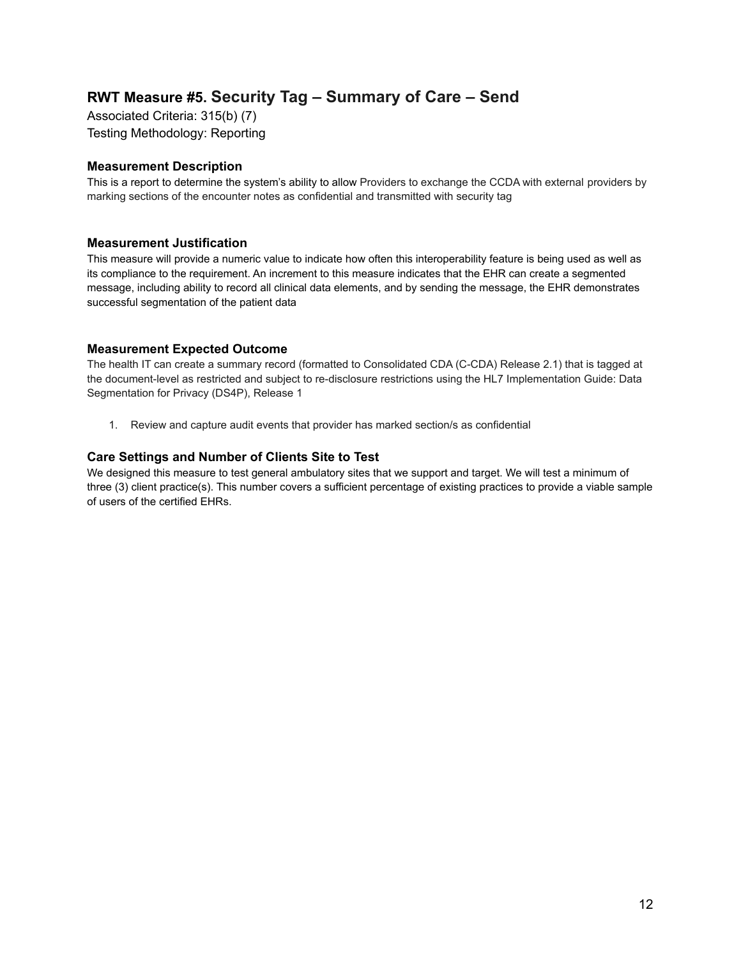## **RWT Measure #5. Security Tag – Summary of Care – Send**

Associated Criteria: 315(b) (7) Testing Methodology: Reporting

#### **Measurement Description**

This is a report to determine the system's ability to allow Providers to exchange the CCDA with external providers by marking sections of the encounter notes as confidential and transmitted with security tag

#### **Measurement Justification**

This measure will provide a numeric value to indicate how often this interoperability feature is being used as well as its compliance to the requirement. An increment to this measure indicates that the EHR can create a segmented message, including ability to record all clinical data elements, and by sending the message, the EHR demonstrates successful segmentation of the patient data

#### **Measurement Expected Outcome**

The health IT can create a summary record (formatted to Consolidated CDA (C-CDA) Release 2.1) that is tagged at the document-level as restricted and subject to re-disclosure restrictions using the HL7 Implementation Guide: Data Segmentation for Privacy (DS4P), Release 1

1. Review and capture audit events that provider has marked section/s as confidential

#### **Care Settings and Number of Clients Site to Test**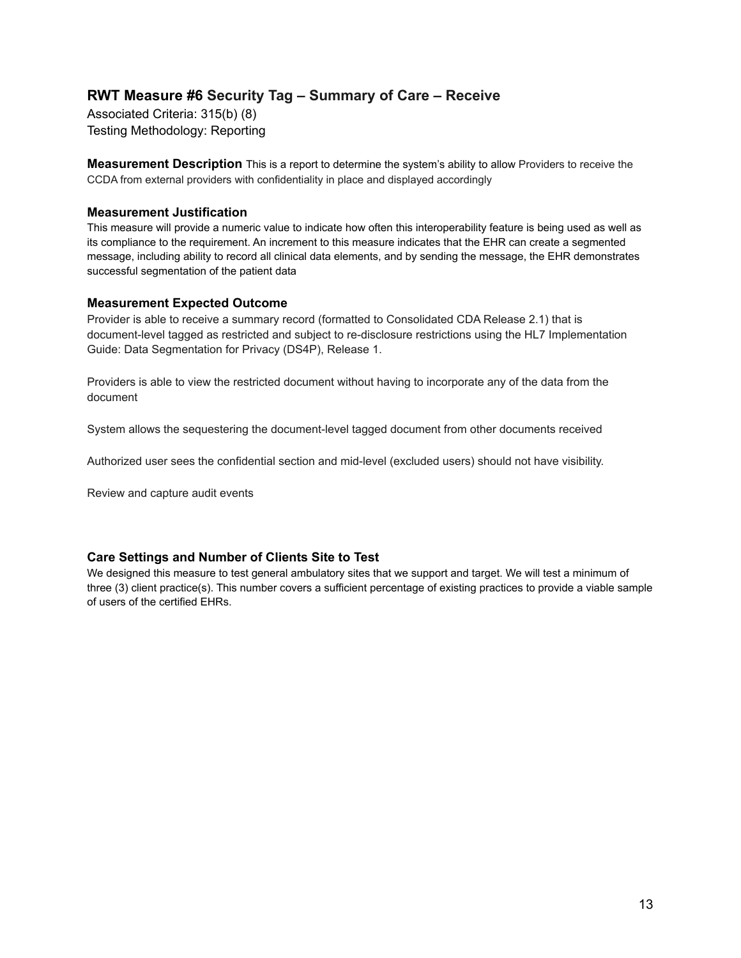## **RWT Measure #6 Security Tag – Summary of Care – Receive**

Associated Criteria: 315(b) (8) Testing Methodology: Reporting

**Measurement Description** This is a report to determine the system's ability to allow Providers to receive the CCDA from external providers with confidentiality in place and displayed accordingly

#### **Measurement Justification**

This measure will provide a numeric value to indicate how often this interoperability feature is being used as well as its compliance to the requirement. An increment to this measure indicates that the EHR can create a segmented message, including ability to record all clinical data elements, and by sending the message, the EHR demonstrates successful segmentation of the patient data

#### **Measurement Expected Outcome**

Provider is able to receive a summary record (formatted to Consolidated CDA Release 2.1) that is document-level tagged as restricted and subject to re-disclosure restrictions using the HL7 Implementation Guide: Data Segmentation for Privacy (DS4P), Release 1.

Providers is able to view the restricted document without having to incorporate any of the data from the document

System allows the sequestering the document-level tagged document from other documents received

Authorized user sees the confidential section and mid-level (excluded users) should not have visibility.

Review and capture audit events

#### **Care Settings and Number of Clients Site to Test**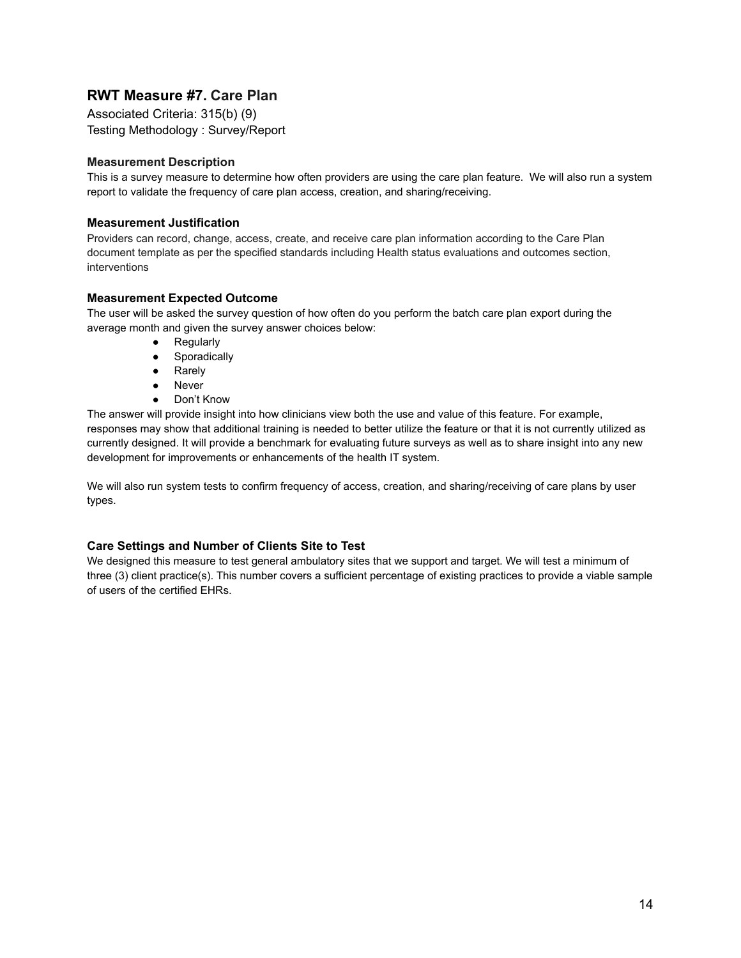## **RWT Measure #7. Care Plan**

Associated Criteria: 315(b) (9) Testing Methodology : Survey/Report

#### **Measurement Description**

This is a survey measure to determine how often providers are using the care plan feature. We will also run a system report to validate the frequency of care plan access, creation, and sharing/receiving.

#### **Measurement Justification**

Providers can record, change, access, create, and receive care plan information according to the Care Plan document template as per the specified standards including Health status evaluations and outcomes section, interventions

#### **Measurement Expected Outcome**

The user will be asked the survey question of how often do you perform the batch care plan export during the average month and given the survey answer choices below:

- Regularly
- **•** Sporadically
- Rarely
- Never
- Don't Know

The answer will provide insight into how clinicians view both the use and value of this feature. For example, responses may show that additional training is needed to better utilize the feature or that it is not currently utilized as currently designed. It will provide a benchmark for evaluating future surveys as well as to share insight into any new development for improvements or enhancements of the health IT system.

We will also run system tests to confirm frequency of access, creation, and sharing/receiving of care plans by user types.

#### **Care Settings and Number of Clients Site to Test**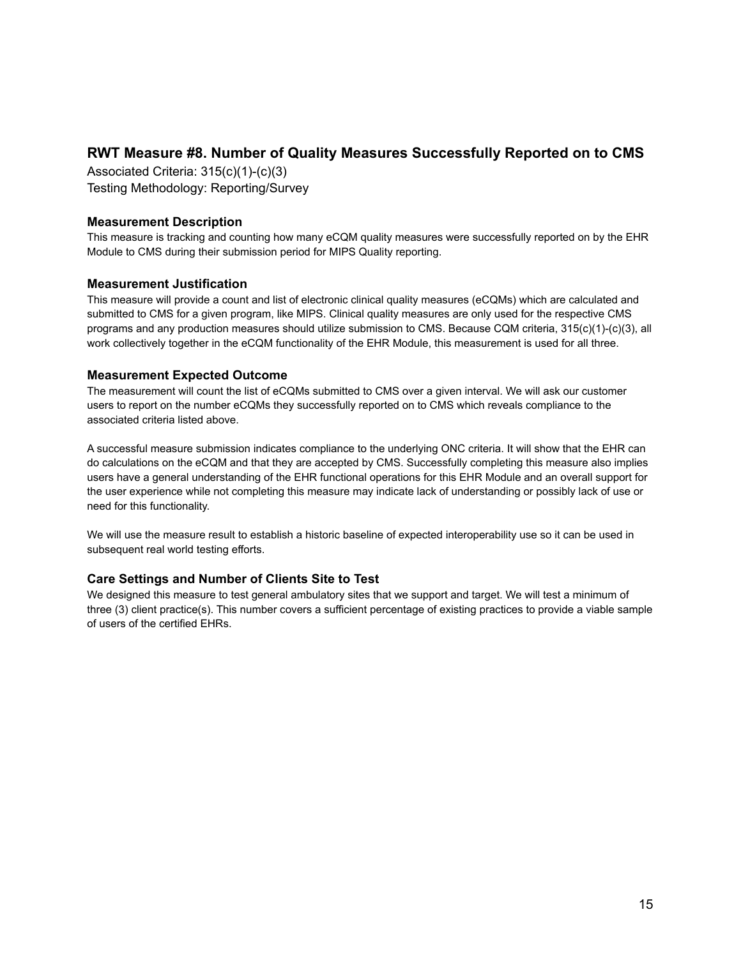### **RWT Measure #8. Number of Quality Measures Successfully Reported on to CMS**

Associated Criteria: 315(c)(1)-(c)(3) Testing Methodology: Reporting/Survey

#### **Measurement Description**

This measure is tracking and counting how many eCQM quality measures were successfully reported on by the EHR Module to CMS during their submission period for MIPS Quality reporting.

#### **Measurement Justification**

This measure will provide a count and list of electronic clinical quality measures (eCQMs) which are calculated and submitted to CMS for a given program, like MIPS. Clinical quality measures are only used for the respective CMS programs and any production measures should utilize submission to CMS. Because CQM criteria, 315(c)(1)-(c)(3), all work collectively together in the eCQM functionality of the EHR Module, this measurement is used for all three.

#### **Measurement Expected Outcome**

The measurement will count the list of eCQMs submitted to CMS over a given interval. We will ask our customer users to report on the number eCQMs they successfully reported on to CMS which reveals compliance to the associated criteria listed above.

A successful measure submission indicates compliance to the underlying ONC criteria. It will show that the EHR can do calculations on the eCQM and that they are accepted by CMS. Successfully completing this measure also implies users have a general understanding of the EHR functional operations for this EHR Module and an overall support for the user experience while not completing this measure may indicate lack of understanding or possibly lack of use or need for this functionality.

We will use the measure result to establish a historic baseline of expected interoperability use so it can be used in subsequent real world testing efforts.

#### **Care Settings and Number of Clients Site to Test**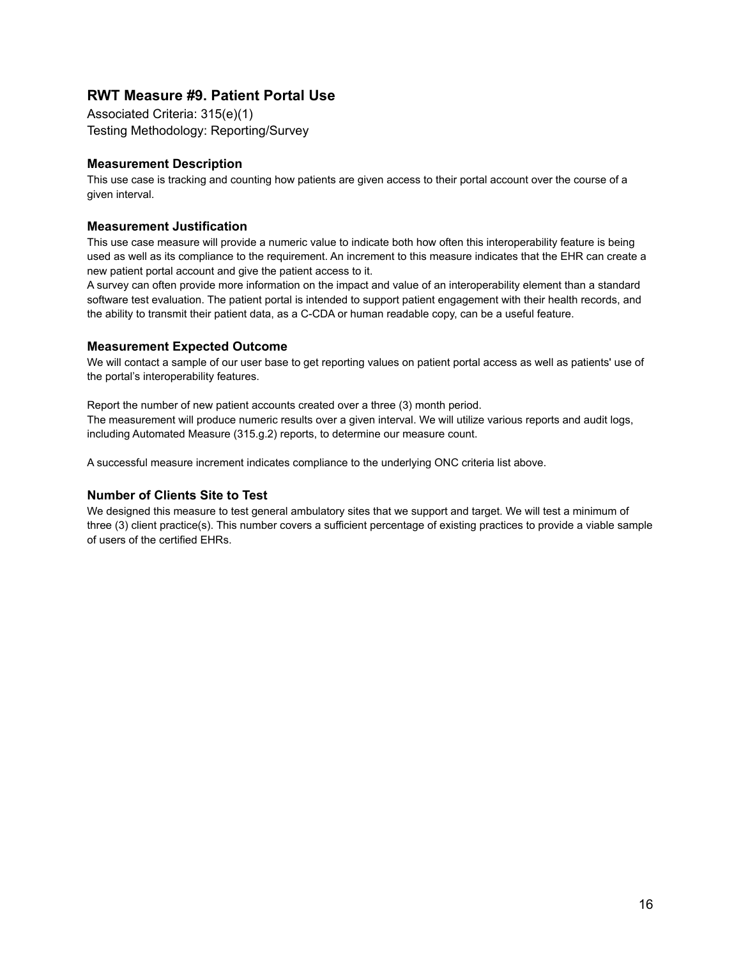### **RWT Measure #9. Patient Portal Use**

Associated Criteria: 315(e)(1) Testing Methodology: Reporting/Survey

#### **Measurement Description**

This use case is tracking and counting how patients are given access to their portal account over the course of a given interval.

#### **Measurement Justification**

This use case measure will provide a numeric value to indicate both how often this interoperability feature is being used as well as its compliance to the requirement. An increment to this measure indicates that the EHR can create a new patient portal account and give the patient access to it.

A survey can often provide more information on the impact and value of an interoperability element than a standard software test evaluation. The patient portal is intended to support patient engagement with their health records, and the ability to transmit their patient data, as a C-CDA or human readable copy, can be a useful feature.

#### **Measurement Expected Outcome**

We will contact a sample of our user base to get reporting values on patient portal access as well as patients' use of the portal's interoperability features.

Report the number of new patient accounts created over a three (3) month period. The measurement will produce numeric results over a given interval. We will utilize various reports and audit logs, including Automated Measure (315.g.2) reports, to determine our measure count.

A successful measure increment indicates compliance to the underlying ONC criteria list above.

#### **Number of Clients Site to Test**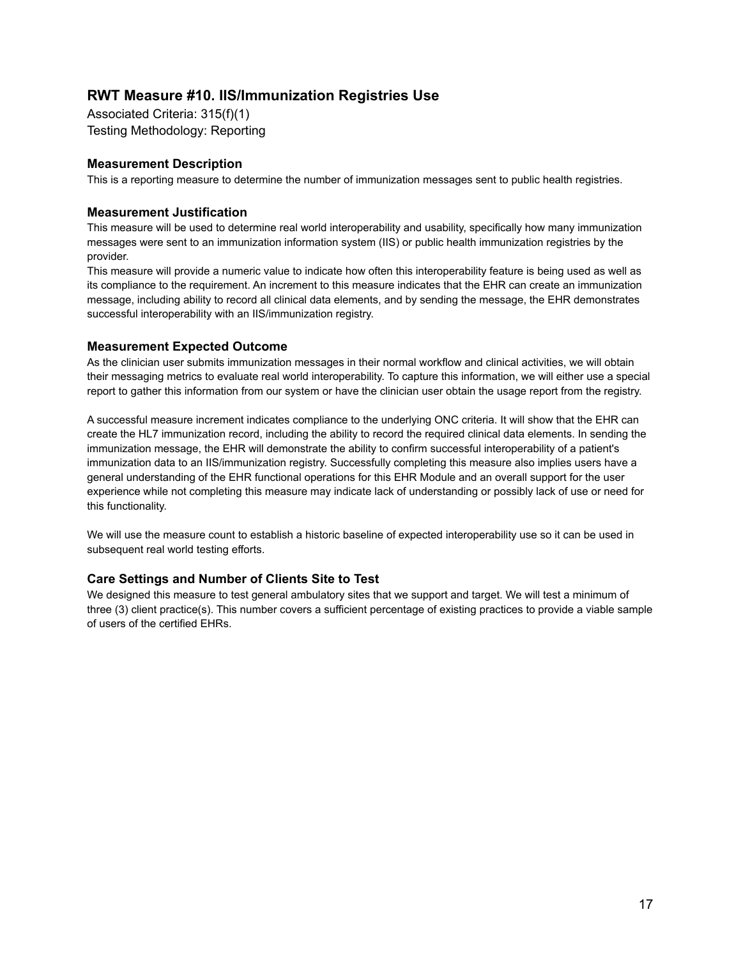## **RWT Measure #10. IIS/Immunization Registries Use**

Associated Criteria: 315(f)(1) Testing Methodology: Reporting

#### **Measurement Description**

This is a reporting measure to determine the number of immunization messages sent to public health registries.

#### **Measurement Justification**

This measure will be used to determine real world interoperability and usability, specifically how many immunization messages were sent to an immunization information system (IIS) or public health immunization registries by the provider.

This measure will provide a numeric value to indicate how often this interoperability feature is being used as well as its compliance to the requirement. An increment to this measure indicates that the EHR can create an immunization message, including ability to record all clinical data elements, and by sending the message, the EHR demonstrates successful interoperability with an IIS/immunization registry.

#### **Measurement Expected Outcome**

As the clinician user submits immunization messages in their normal workflow and clinical activities, we will obtain their messaging metrics to evaluate real world interoperability. To capture this information, we will either use a special report to gather this information from our system or have the clinician user obtain the usage report from the registry.

A successful measure increment indicates compliance to the underlying ONC criteria. It will show that the EHR can create the HL7 immunization record, including the ability to record the required clinical data elements. In sending the immunization message, the EHR will demonstrate the ability to confirm successful interoperability of a patient's immunization data to an IIS/immunization registry. Successfully completing this measure also implies users have a general understanding of the EHR functional operations for this EHR Module and an overall support for the user experience while not completing this measure may indicate lack of understanding or possibly lack of use or need for this functionality.

We will use the measure count to establish a historic baseline of expected interoperability use so it can be used in subsequent real world testing efforts.

#### **Care Settings and Number of Clients Site to Test**